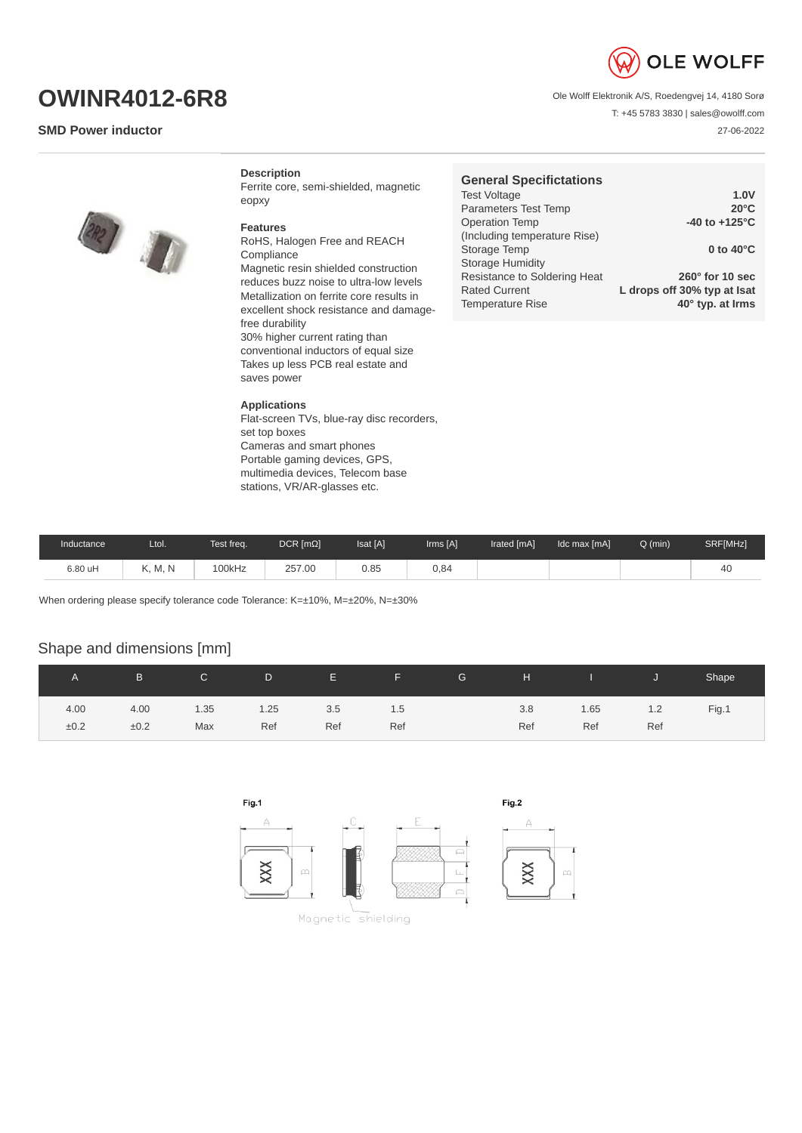

T: +45 5783 3830 | sales@owolff.com

27-06-2022

Ole Wolff Elektronik A/S, Roedengvej 14, 4180 Sorø

**OWINR4012-6R8**

## **SMD Power inductor**

**Description**

Ferrite core, semi-shielded, magnetic eopxy

## **Features**

RoHS, Halogen Free and REACH Compliance Magnetic resin shielded construction reduces buzz noise to ultra-low levels Metallization on ferrite core results in excellent shock resistance and damagefree durability 30% higher current rating than conventional inductors of equal size Takes up less PCB real estate and saves power

## **Applications**

Flat-screen TVs, blue-ray disc recorders, set top boxes Cameras and smart phones Portable gaming devices, GPS, multimedia devices, Telecom base stations, VR/AR-glasses etc.

| <b>General Specifictations</b> |                             |
|--------------------------------|-----------------------------|
| <b>Test Voltage</b>            | 1.0V                        |
| Parameters Test Temp           | $20^{\circ}$ C              |
| <b>Operation Temp</b>          | -40 to $+125^{\circ}$ C     |
| (Including temperature Rise)   |                             |
| Storage Temp                   | 0 to $40^{\circ}$ C         |
| <b>Storage Humidity</b>        |                             |
| Resistance to Soldering Heat   | $260^\circ$ for 10 sec      |
| <b>Rated Current</b>           | L drops off 30% typ at Isat |
| <b>Temperature Rise</b>        | 40° typ. at Irms            |

| Inductance | Ltol.   | Test freq. | $DCR$ [m $\Omega$ ] | Isat [A] | Irms [A] | Irated [mA] | Idc max [mA] | $Q$ (min) | SRF[MHz] |
|------------|---------|------------|---------------------|----------|----------|-------------|--------------|-----------|----------|
| 6.80 uH    | K, M, N | 100kHz     | 257.00              | 0.85     | 0.84     |             |              |           | 4L       |

When ordering please specify tolerance code Tolerance: K=±10%, M=±20%, N=±30%

## Shape and dimensions [mm]

|      | B.   | $\mathsf{C}$ | D.   | <b>THE EXISTENCY</b> | <u> - all Seppre-</u> | G | H   | and the state of the state of the state of the state of the state of the state of the state of the state of th |     | Shape |
|------|------|--------------|------|----------------------|-----------------------|---|-----|----------------------------------------------------------------------------------------------------------------|-----|-------|
| 4.00 | 4.00 | 1.35         | 1.25 | 3.5                  | 1.5                   |   | 3.8 | 1.65                                                                                                           | 1.2 | Fig.1 |
| ±0.2 | ±0.2 | Max          | Ref  | Ref                  | Ref                   |   | Ref | Ref                                                                                                            | Ref |       |